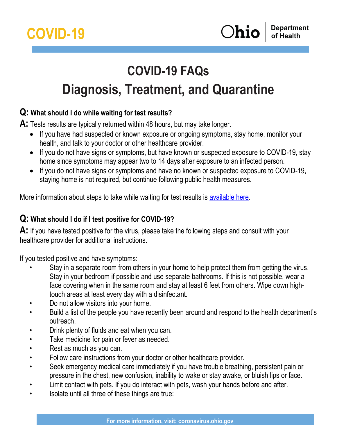# **COVID-19 FAQs Diagnosis, Treatment, and Quarantine**

## **Q: What should I do while waiting for test results?**

**A:** Tests results are typically returned within 48 hours, but may take longer.

- If you have had suspected or known exposure or ongoing symptoms, stay home, monitor your health, and talk to your doctor or other healthcare provider.
- If you do not have signs or symptoms, but have known or suspected exposure to COVID-19, stay home since symptoms may appear two to 14 days after exposure to an infected person.
- If you do not have signs or symptoms and have no known or suspected exposure to COVID-19, staying home is not required, but continue following public health measures.

More information about steps to take while waiting for test results is [available here.](https://coronavirus.ohio.gov/static/contacttracing/Steps-While-Wait-Test-Results.pdf)

## **Q: What should I do if I test positive for COVID-19?**

**A:** If you have tested positive for the virus, please take the following steps and consult with your healthcare provider for additional instructions.

If you tested positive and have symptoms:

- Stay in a separate room from others in your home to help protect them from getting the virus. Stay in your bedroom if possible and use separate bathrooms. If this is not possible, wear a face covering when in the same room and stay at least 6 feet from others. Wipe down hightouch areas at least every day with a disinfectant.
- Do not allow visitors into your home.
- Build a list of the people you have recently been around and respond to the health department's outreach.
- Drink plenty of fluids and eat when you can.
- Take medicine for pain or fever as needed.
- Rest as much as you can.
- Follow care instructions from your doctor or other healthcare provider.
- Seek emergency medical care immediately if you have trouble breathing, persistent pain or pressure in the chest, new confusion, inability to wake or stay awake, or bluish lips or face.
- Limit contact with pets. If you do interact with pets, wash your hands before and after.
- Isolate until all three of these things are true: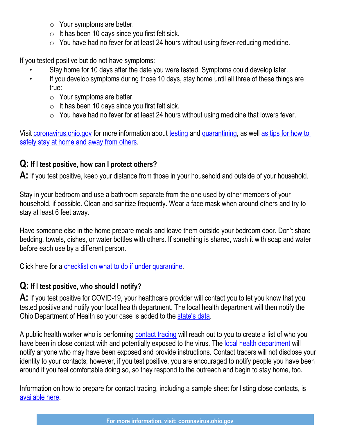- $\circ$  Your symptoms are better.
- $\circ$  It has been 10 days since you first felt sick.
- $\circ$  You have had no fever for at least 24 hours without using fever-reducing medicine.

If you tested positive but do not have symptoms:

- Stay home for 10 days after the date you were tested. Symptoms could develop later.
- If you develop symptoms during those 10 days, stay home until all three of these things are true:
	- $\circ$  Your symptoms are better.
	- $\circ$  It has been 10 days since you first felt sick.
	- $\circ$  You have had no fever for at least 24 hours without using medicine that lowers fever.

Visit [coronavirus.ohio.gov](https://coronavirus.ohio.gov/wps/portal/gov/covid-19/home) for more information about [testing](https://coronavirus.ohio.gov/static/MHSF/COVID-19-Ohio-Testing-FAQ.pdf) and [quarantining,](https://coronavirus.ohio.gov/static/docs/COVID-19-Quarantine-FAQs.pdf) as well [as tips for how to](https://coronavirus.ohio.gov/static/contacttracing/Steps-While-Wait-Test-Results.pdf)  [safely stay at home and away from others.](https://coronavirus.ohio.gov/static/contacttracing/Steps-While-Wait-Test-Results.pdf)

#### **Q: If I test positive, how can I protect others?**

**A:** If you test positive, keep your distance from those in your household and outside of your household.

Stay in your bedroom and use a bathroom separate from the one used by other members of your household, if possible. Clean and sanitize frequently. Wear a face mask when around others and try to stay at least 6 feet away.

Have someone else in the home prepare meals and leave them outside your bedroom door. Don't share bedding, towels, dishes, or water bottles with others. If something is shared, wash it with soap and water before each use by a different person.

Click here for a [checklist on what to do if under quarantine.](https://coronavirus.ohio.gov/wps/portal/gov/covid-19/checklists/english-checklists/if-youre-isolated-quarantined-covid-19-checklist)

#### **Q: If I test positive, who should I notify?**

**A:** If you test positive for COVID-19, your healthcare provider will contact you to let you know that you tested positive and notify your local health department. The local health department will then notify the Ohio Department of Health so your case is added to the [state's data](https://coronavirus.ohio.gov/wps/portal/gov/covid-19/public-health-advisory-system).

A public health worker who is performing [contact tracing](https://coronavirus.ohio.gov/static/contacttracing/Preparing-for-Contact-Tracing.pdf) will reach out to you to create a list of who you have been in close contact with and potentially exposed to the virus. The [local health department](https://odh.ohio.gov/wps/portal/gov/odh/find-local-health-districts) will notify anyone who may have been exposed and provide instructions. Contact tracers will not disclose your identity to your contacts; however, if you test positive, you are encouraged to notify people you have been around if you feel comfortable doing so, so they respond to the outreach and begin to stay home, too.

Information on how to prepare for contact tracing, including a sample sheet for listing close contacts, is [available here.](https://coronavirus.ohio.gov/static/contacttracing/Preparing-for-Contact-Tracing.pdf)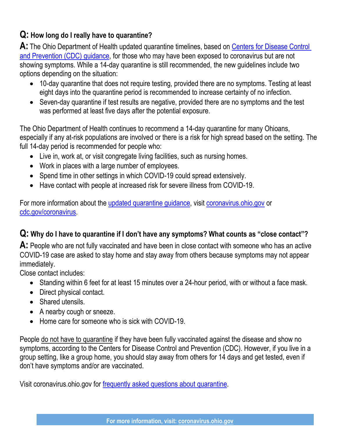# **Q: How long do I really have to quarantine?**

A: The Ohio Department of Health updated quarantine timelines, based on Centers for Disease Control [and Prevention \(CDC\) guidance,](https://www.cdc.gov/coronavirus/2019-ncov/more/scientific-brief-options-to-reduce-quarantine.html) for those who may have been exposed to coronavirus but are not showing symptoms. While a 14-day quarantine is still recommended, the new guidelines include two options depending on the situation:

- 10-day quarantine that does not require testing, provided there are no symptoms. Testing at least eight days into the quarantine period is recommended to increase certainty of no infection.
- Seven-day quarantine if test results are negative, provided there are no symptoms and the test was performed at least five days after the potential exposure.

The Ohio Department of Health continues to recommend a 14-day quarantine for many Ohioans, especially if any at-risk populations are involved or there is a risk for high spread based on the setting. The full 14-day period is recommended for people who:

- Live in, work at, or visit congregate living facilities, such as nursing homes.
- Work in places with a large number of employees.
- Spend time in other settings in which COVID-19 could spread extensively.
- Have contact with people at increased risk for severe illness from COVID-19.

For more information about the [updated quarantine guidance,](https://coronavirus.ohio.gov/wps/portal/gov/covid-19/resources/news-releases-news-you-can-use/covid-19-update-12-04-20) visit [coronavirus.ohio.gov](https://coronavirus.ohio.gov/wps/portal/gov/covid-19/home) or [cdc.gov/coronavirus.](https://www.cdc.gov/coronavirus/2019-ncov/index.html?CDC_AA_refVal=https%3A%2F%2Fwww.cdc.gov%2Fcoronavirus%2Findex.html)

## **Q: Why do I have to quarantine if I don't have any symptoms? What counts as "close contact"?**

**A:** People who are not fully vaccinated and have been in close contact with someone who has an active COVID-19 case are asked to stay home and stay away from others because symptoms may not appear immediately.

Close contact includes:

- Standing within 6 feet for at least 15 minutes over a 24-hour period, with or without a face mask.
- Direct physical contact.
- Shared utensils.
- A nearby cough or sneeze.
- Home care for someone who is sick with COVID-19.

People do not have to quarantine if they have been fully vaccinated against the disease and show no symptoms, according to the Centers for Disease Control and Prevention (CDC). However, if you live in a group setting, like a group home, you should stay away from others for 14 days and get tested, even if don't have symptoms and/or are vaccinated.

Visit coronavirus.ohio.gov for [frequently asked questions about quarantine.](https://coronavirus.ohio.gov/static/docs/COVID-19-Quarantine-FAQs.pdf)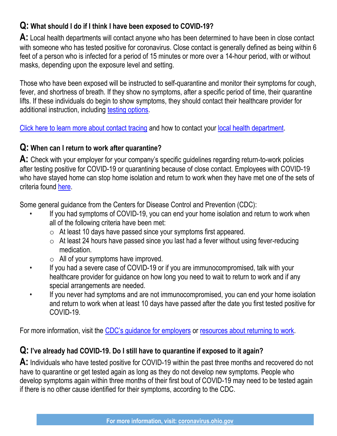# **Q: What should I do if I think I have been exposed to COVID-19?**

**A:** Local health departments will contact anyone who has been determined to have been in close contact with someone who has tested positive for coronavirus. Close contact is generally defined as being within 6 feet of a person who is infected for a period of 15 minutes or more over a 14-hour period, with or without masks, depending upon the exposure level and setting.

Those who have been exposed will be instructed to self-quarantine and monitor their symptoms for cough, fever, and shortness of breath. If they show no symptoms, after a specific period of time, their quarantine lifts. If these individuals do begin to show symptoms, they should contact their healthcare provider for additional instruction, including [testing options.](https://coronavirus.ohio.gov/wps/portal/gov/covid-19/testing-ch-centers)

[Click here to learn more about contact tracing](https://coronavirus.ohio.gov/static/contacttracing/Preparing-for-Contact-Tracing.pdf) and how to contact your [local health department.](https://odh.ohio.gov/wps/portal/gov/odh/find-local-health-districts)

## **Q: When can I return to work after quarantine?**

**A:** Check with your employer for your company's specific guidelines regarding return-to-work policies after testing positive for COVID-19 or quarantining because of close contact. Employees with COVID-19 who have stayed home can stop home isolation and return to work when they have met one of the sets of criteria found [here.](https://www.cdc.gov/coronavirus/2019-ncov/hcp/disposition-in-home-patients.html)

Some general guidance from the Centers for Disease Control and Prevention (CDC):

- If you had symptoms of COVID-19, you can end your home isolation and return to work when all of the following criteria have been met:
	- $\circ$  At least 10 days have passed since your symptoms first appeared.
	- $\circ$  At least 24 hours have passed since you last had a fever without using fever-reducing medication.
	- $\circ$  All of your symptoms have improved.
- If you had a severe case of COVID-19 or if you are immunocompromised, talk with your healthcare provider for guidance on how long you need to wait to return to work and if any special arrangements are needed.
- If you never had symptoms and are not immunocompromised, you can end your home isolation and return to work when at least 10 days have passed after the date you first tested positive for COVID-19.

For more information, visit the [CDC's guidance for employers](https://www.cdc.gov/coronavirus/2019-ncov/community/communication-plan.html#:~:text=%E2%80%A2%20If%20you%20had%20symptoms,for%20COVID%2D19.) or [resources about returning to work.](https://www.cdc.gov/coronavirus/2019-ncov/daily-life-coping/returning-to-work.html)

## **Q: I've already had COVID-19. Do I still have to quarantine if exposed to it again?**

**A:** Individuals who have tested positive for COVID-19 within the past three months and recovered do not have to quarantine or get tested again as long as they do not develop new symptoms. People who develop symptoms again within three months of their first bout of COVID-19 may need to be tested again if there is no other cause identified for their symptoms, according to the CDC.